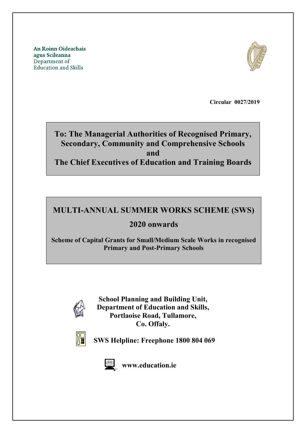An Roinn Oideachais agus Scileanna Department of Education and Skills



**Circular 0027/2019**

# **To: The Managerial Authorities of Recognised Primary, Secondary, Community and Comprehensive Schools and The Chief Executives of Education and Training Boards**

# **MULTI-ANNUAL SUMMER WORKS SCHEME (SWS)**

## **2020 onwards**

**Scheme of Capital Grants for Small/Medium Scale Works in recognised Primary and Post-Primary Schools**



**School Planning and Building Unit, Department of Education and Skills, Portlaoise Road, Tullamore, Co. Offaly.**



**<u><b>M**</u> SWS Helpline: Freephone 1800 804 069



 **[www.education.ie](http://www.education.ie/)**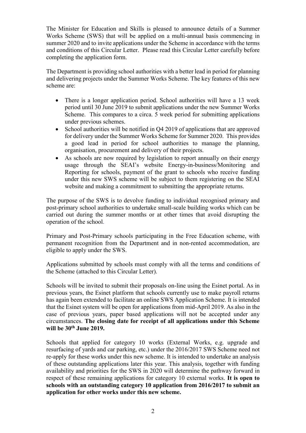The Minister for Education and Skills is pleased to announce details of a Summer Works Scheme (SWS) that will be applied on a multi-annual basis commencing in summer 2020 and to invite applications under the Scheme in accordance with the terms and conditions of this Circular Letter. Please read this Circular Letter carefully before completing the application form.

The Department is providing school authorities with a better lead in period for planning and delivering projects under the Summer Works Scheme. The key features of this new scheme are:

- There is a longer application period. School authorities will have a 13 week period until 30 June 2019 to submit applications under the new Summer Works Scheme. This compares to a circa. 5 week period for submitting applications under previous schemes.
- School authorities will be notified in Q4 2019 of applications that are approved for delivery under the Summer Works Scheme for Summer 2020. This provides a good lead in period for school authorities to manage the planning, organisation, procurement and delivery of their projects.
- As schools are now required by legislation to report annually on their energy usage through the SEAI's website Energy-in-business/Monitoring and Reporting for schools, payment of the grant to schools who receive funding under this new SWS scheme will be subject to them registering on the SEAI website and making a commitment to submitting the appropriate returns.

The purpose of the SWS is to devolve funding to individual recognised primary and post-primary school authorities to undertake small-scale building works which can be carried out during the summer months or at other times that avoid disrupting the operation of the school.

Primary and Post-Primary schools participating in the Free Education scheme, with permanent recognition from the Department and in non-rented accommodation, are eligible to apply under the SWS.

Applications submitted by schools must comply with all the terms and conditions of the Scheme (attached to this Circular Letter).

Schools will be invited to submit their proposals on-line using the Esinet portal. As in previous years, the Esinet platform that schools currently use to make payroll returns has again been extended to facilitate an online SWS Application Scheme. It is intended that the Esinet system will be open for applications from mid-April 2019. As also in the case of previous years, paper based applications will not be accepted under any circumstances. **The closing date for receipt of all applications under this Scheme will be 30th June 2019.**

Schools that applied for category 10 works (External Works, e.g. upgrade and resurfacing of yards and car parking, etc.) under the 2016/2017 SWS Scheme need not re-apply for these works under this new scheme. It is intended to undertake an analysis of these outstanding applications later this year. This analysis, together with funding availability and priorities for the SWS in 2020 will determine the pathway forward in respect of these remaining applications for category 10 external works. **It is open to schools with an outstanding category 10 application from 2016/2017 to submit an application for other works under this new scheme.**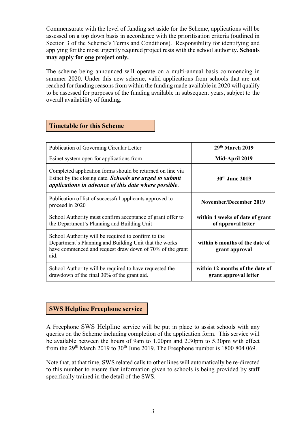Commensurate with the level of funding set aside for the Scheme, applications will be assessed on a top down basis in accordance with the prioritisation criteria (outlined in Section 3 of the Scheme's Terms and Conditions). Responsibility for identifying and applying for the most urgently required project rests with the school authority. **Schools may apply for one project only.**

The scheme being announced will operate on a multi-annual basis commencing in summer 2020. Under this new scheme, valid applications from schools that are not reached for funding reasons from within the funding made available in 2020 will qualify to be assessed for purposes of the funding available in subsequent years, subject to the overall availability of funding.

#### **Timetable for this Scheme**

| <b>Publication of Governing Circular Letter</b>                                                                                                                                   | 29th March 2019                                          |
|-----------------------------------------------------------------------------------------------------------------------------------------------------------------------------------|----------------------------------------------------------|
| Esinet system open for applications from                                                                                                                                          | Mid-April 2019                                           |
| Completed application forms should be returned on line via<br>Esinet by the closing date. Schools are urged to submit<br>applications in advance of this date where possible.     | 30 <sup>th</sup> June 2019                               |
| Publication of list of successful applicants approved to<br>proceed in 2020                                                                                                       | <b>November/December 2019</b>                            |
| School Authority must confirm acceptance of grant offer to<br>the Department's Planning and Building Unit                                                                         | within 4 weeks of date of grant<br>of approval letter    |
| School Authority will be required to confirm to the<br>Department's Planning and Building Unit that the works<br>have commenced and request draw down of 70% of the grant<br>aid. | within 6 months of the date of<br>grant approval         |
| School Authority will be required to have requested the<br>drawdown of the final 30% of the grant aid.                                                                            | within 12 months of the date of<br>grant approval letter |

## **SWS Helpline Freephone service**

A Freephone SWS Helpline service will be put in place to assist schools with any queries on the Scheme including completion of the application form. This service will be available between the hours of 9am to 1.00pm and 2.30pm to 5.30pm with effect from the  $29<sup>th</sup>$  March 2019 to  $30<sup>th</sup>$  June 2019. The Freephone number is 1800 804 069.

Note that, at that time, SWS related calls to other lines will automatically be re-directed to this number to ensure that information given to schools is being provided by staff specifically trained in the detail of the SWS.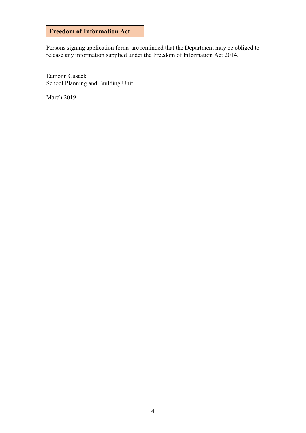## **Freedom of Information Act**

Persons signing application forms are reminded that the Department may be obliged to release any information supplied under the Freedom of Information Act 2014.

Eamonn Cusack School Planning and Building Unit

March 2019.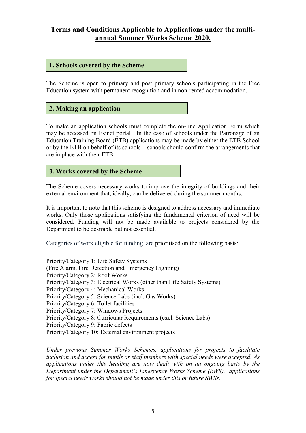## **Terms and Conditions Applicable to Applications under the multiannual Summer Works Scheme 2020.**

## **1. Schools covered by the Scheme**

The Scheme is open to primary and post primary schools participating in the Free Education system with permanent recognition and in non-rented accommodation.

## **2. Making an application**

To make an application schools must complete the on-line Application Form which may be accessed on Esinet portal. In the case of schools under the Patronage of an Education Training Board (ETB) applications may be made by either the ETB School or by the ETB on behalf of its schools – schools should confirm the arrangements that are in place with their ETB.

## **3. Works covered by the Scheme**

The Scheme covers necessary works to improve the integrity of buildings and their external environment that, ideally, can be delivered during the summer months.

It is important to note that this scheme is designed to address necessary and immediate works. Only those applications satisfying the fundamental criterion of need will be considered. Funding will not be made available to projects considered by the Department to be desirable but not essential.

Categories of work eligible for funding, are prioritised on the following basis:

Priority/Category 1: Life Safety Systems

(Fire Alarm, Fire Detection and Emergency Lighting)

Priority/Category 2: Roof Works

Priority/Category 3: Electrical Works (other than Life Safety Systems)

Priority/Category 4: Mechanical Works

Priority/Category 5: Science Labs (incl. Gas Works)

Priority/Category 6: Toilet facilities

Priority/Category 7: Windows Projects

Priority/Category 8: Curricular Requirements (excl. Science Labs)

Priority/Category 9: Fabric defects

Priority/Category 10: External environment projects

*Under previous Summer Works Schemes, applications for projects to facilitate inclusion and access for pupils or staff members with special needs were accepted. As applications under this heading are now dealt with on an ongoing basis by the Department under the Department's Emergency Works Scheme (EWS), applications for special needs works should not be made under this or future SWSs.*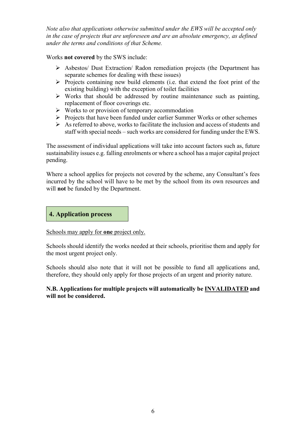*Note also that applications otherwise submitted under the EWS will be accepted only in the case of projects that are unforeseen and are an absolute emergency, as defined under the terms and conditions of that Scheme.*

Works **not covered** by the SWS include:

- $\triangleright$  Asbestos/ Dust Extraction/ Radon remediation projects (the Department has separate schemes for dealing with these issues)
- $\triangleright$  Projects containing new build elements (i.e. that extend the foot print of the existing building) with the exception of toilet facilities
- $\triangleright$  Works that should be addressed by routine maintenance such as painting, replacement of floor coverings etc.
- $\triangleright$  Works to or provision of temporary accommodation
- $\triangleright$  Projects that have been funded under earlier Summer Works or other schemes
- $\triangleright$  As referred to above, works to facilitate the inclusion and access of students and staff with special needs – such works are considered for funding under the EWS.

The assessment of individual applications will take into account factors such as, future sustainability issues e.g. falling enrolments or where a school has a major capital project pending.

Where a school applies for projects not covered by the scheme, any Consultant's fees incurred by the school will have to be met by the school from its own resources and will **not** be funded by the Department.

## **4. Application process**

Schools may apply for **one** project only.

Schools should identify the works needed at their schools, prioritise them and apply for the most urgent project only.

Schools should also note that it will not be possible to fund all applications and, therefore, they should only apply for those projects of an urgent and priority nature.

#### **N.B. Applications for multiple projects will automatically be INVALIDATED and will not be considered.**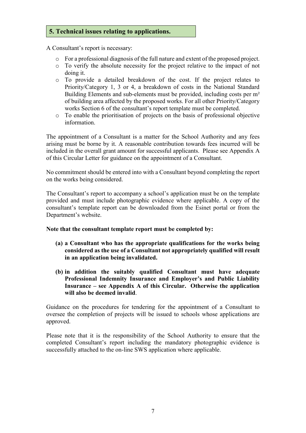#### **5. Technical issues relating to applications.**

A Consultant's report is necessary:

- o For a professional diagnosis of the full nature and extent of the proposed project.
- o To verify the absolute necessity for the project relative to the impact of not doing it.
- o To provide a detailed breakdown of the cost. If the project relates to Priority/Category 1, 3 or 4, a breakdown of costs in the National Standard Building Elements and sub-elements must be provided, including costs per m² of building area affected by the proposed works. For all other Priority/Category works Section 6 of the consultant's report template must be completed.
- o To enable the prioritisation of projects on the basis of professional objective information.

The appointment of a Consultant is a matter for the School Authority and any fees arising must be borne by it. A reasonable contribution towards fees incurred will be included in the overall grant amount for successful applicants. Please see Appendix A of this Circular Letter for guidance on the appointment of a Consultant.

No commitment should be entered into with a Consultant beyond completing the report on the works being considered.

The Consultant's report to accompany a school's application must be on the template provided and must include photographic evidence where applicable. A copy of the consultant's template report can be downloaded from the Esinet portal or from the Department's website.

#### **Note that the consultant template report must be completed by:**

- **(a) a Consultant who has the appropriate qualifications for the works being considered as the use of a Consultant not appropriately qualified will result in an application being invalidated.**
- **(b) in addition the suitably qualified Consultant must have adequate Professional Indemnity Insurance and Employer's and Public Liability Insurance – see Appendix A of this Circular. Otherwise the application will also be deemed invalid**.

Guidance on the procedures for tendering for the appointment of a Consultant to oversee the completion of projects will be issued to schools whose applications are approved.

Please note that it is the responsibility of the School Authority to ensure that the completed Consultant's report including the mandatory photographic evidence is successfully attached to the on-line SWS application where applicable.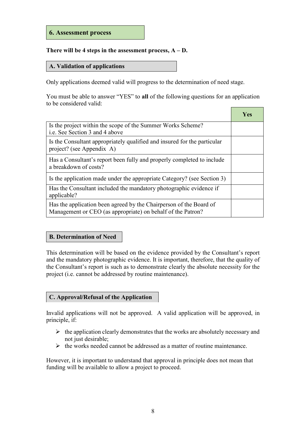#### **6. Assessment process**

#### **There will be 4 steps in the assessment process, A – D.**

#### **A. Validation of applications**

Only applications deemed valid will progress to the determination of need stage.

You must be able to answer "YES" to **all** of the following questions for an application to be considered valid:

|                                                                                                                                   | <b>Yes</b> |
|-----------------------------------------------------------------------------------------------------------------------------------|------------|
| Is the project within the scope of the Summer Works Scheme?<br>i.e. See Section 3 and 4 above                                     |            |
| Is the Consultant appropriately qualified and insured for the particular<br>project? (see Appendix A)                             |            |
| Has a Consultant's report been fully and properly completed to include<br>a breakdown of costs?                                   |            |
| Is the application made under the appropriate Category? (see Section 3)                                                           |            |
| Has the Consultant included the mandatory photographic evidence if<br>applicable?                                                 |            |
| Has the application been agreed by the Chairperson of the Board of<br>Management or CEO (as appropriate) on behalf of the Patron? |            |

#### **B. Determination of Need**

This determination will be based on the evidence provided by the Consultant's report and the mandatory photographic evidence. It is important, therefore, that the quality of the Consultant's report is such as to demonstrate clearly the absolute necessity for the project (i.e. cannot be addressed by routine maintenance).

#### **C. Approval/Refusal of the Application**

Invalid applications will not be approved. A valid application will be approved, in principle, if:

- $\triangleright$  the application clearly demonstrates that the works are absolutely necessary and not just desirable:
- $\triangleright$  the works needed cannot be addressed as a matter of routine maintenance.

However, it is important to understand that approval in principle does not mean that funding will be available to allow a project to proceed.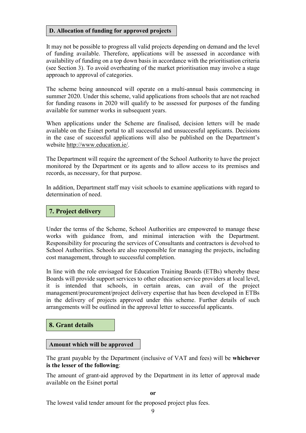#### **D. Allocation of funding for approved projects**

It may not be possible to progress all valid projects depending on demand and the level of funding available. Therefore, applications will be assessed in accordance with availability of funding on a top down basis in accordance with the prioritisation criteria (see Section 3). To avoid overheating of the market prioritisation may involve a stage approach to approval of categories.

The scheme being announced will operate on a multi-annual basis commencing in summer 2020. Under this scheme, valid applications from schools that are not reached for funding reasons in 2020 will qualify to be assessed for purposes of the funding available for summer works in subsequent years.

When applications under the Scheme are finalised, decision letters will be made available on the Esinet portal to all successful and unsuccessful applicants. Decisions in the case of successful applications will also be published on the Department's website [http://www.education.ie/.](http://www.education.ie/)

The Department will require the agreement of the School Authority to have the project monitored by the Department or its agents and to allow access to its premises and records, as necessary, for that purpose.

In addition, Department staff may visit schools to examine applications with regard to determination of need.

#### **7. Project delivery**

Under the terms of the Scheme, School Authorities are empowered to manage these works with guidance from, and minimal interaction with the Department. Responsibility for procuring the services of Consultants and contractors is devolved to School Authorities. Schools are also responsible for managing the projects, including cost management, through to successful completion.

In line with the role envisaged for Education Training Boards (ETBs) whereby these Boards will provide support services to other education service providers at local level, it is intended that schools, in certain areas, can avail of the project management/procurement/project delivery expertise that has been developed in ETBs in the delivery of projects approved under this scheme. Further details of such arrangements will be outlined in the approval letter to successful applicants.

#### **8. Grant details**

#### **Amount which will be approved**

The grant payable by the Department (inclusive of VAT and fees) will be **whichever is the lesser of the following**:

The amount of grant-aid approved by the Department in its letter of approval made available on the Esinet portal

**or**

The lowest valid tender amount for the proposed project plus fees.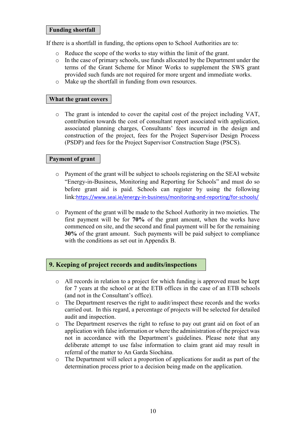#### **Funding shortfall**

If there is a shortfall in funding, the options open to School Authorities are to:

- o Reduce the scope of the works to stay within the limit of the grant.
- o In the case of primary schools, use funds allocated by the Department under the terms of the Grant Scheme for Minor Works to supplement the SWS grant provided such funds are not required for more urgent and immediate works.
- o Make up the shortfall in funding from own resources.

## **What the grant covers**

o The grant is intended to cover the capital cost of the project including VAT, contribution towards the cost of consultant report associated with application, associated planning charges, Consultants' fees incurred in the design and construction of the project, fees for the Project Supervisor Design Process (PSDP) and fees for the Project Supervisor Construction Stage (PSCS).

#### **Payment of grant**

- o Payment of the grant will be subject to schools registering on the SEAI website "Energy-in-Business, Monitoring and Reporting for Schools" and must do so before grant aid is paid. Schools can register by using the following link:<https://www.seai.ie/energy-in-business/monitoring-and-reporting/for-schools/>
- o Payment of the grant will be made to the School Authority in two moieties. The first payment will be for **70%** of the grant amount, when the works have commenced on site, and the second and final payment will be for the remaining **30%** of the grant amount. Such payments will be paid subject to compliance with the conditions as set out in Appendix B.

#### **9. Keeping of project records and audits/inspections**

- o All records in relation to a project for which funding is approved must be kept for 7 years at the school or at the ETB offices in the case of an ETB schools (and not in the Consultant's office).
- o The Department reserves the right to audit/inspect these records and the works carried out. In this regard, a percentage of projects will be selected for detailed audit and inspection.
- o The Department reserves the right to refuse to pay out grant aid on foot of an application with false information or where the administration of the project was not in accordance with the Department's guidelines. Please note that any deliberate attempt to use false information to claim grant aid may result in referral of the matter to An Garda Síochána.
- o The Department will select a proportion of applications for audit as part of the determination process prior to a decision being made on the application.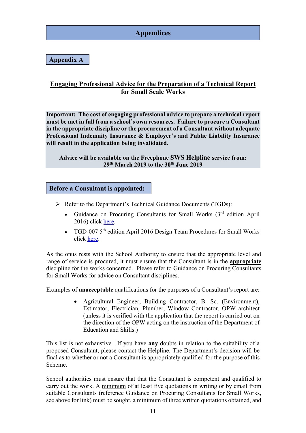## **Appendices**

**Appendix A**

## **Engaging Professional Advice for the Preparation of a Technical Report for Small Scale Works**

**Important: The cost of engaging professional advice to prepare a technical report must be met in full from a school's own resources. Failure to procure a Consultant in the appropriate discipline or the procurement of a Consultant without adequate Professional Indemnity Insurance & Employer's and Public Liability Insurance will result in the application being invalidated.**

#### **Advice will be available on the Freephone SWS Helpline service from: 29th March 2019 to the 30th June 2019**

**Before a Consultant is appointed:**

- $\triangleright$  Refer to the Department's Technical Guidance Documents (TGDs):
	- Guidance on Procuring Consultants for Small Works  $(3<sup>rd</sup>$  edition April 2016) click [here.](https://www.education.ie/en/School-Design/Appointment-of-Consultants/Guidance-on-Procuring-Consultants-for-Small-Works-3rd-Edition-Apr-2016.docx)
	- TGD-007 5<sup>th</sup> edition April 2016 Design Team Procedures for Small Works click [here.](https://www.education.ie/en/School-Design/Technical-Guidance-Documents/Current-Technical-Guidance/pbu_tgd_007_5th_edition_2016.doc)

As the onus rests with the School Authority to ensure that the appropriate level and range of service is procured, it must ensure that the Consultant is in the **appropriate** discipline for the works concerned. Please refer to Guidance on Procuring Consultants for Small Works for advice on Consultant disciplines.

Examples of **unacceptable** qualifications for the purposes of a Consultant's report are:

 Agricultural Engineer, Building Contractor, B. Sc. (Environment), Estimator, Electrician, Plumber, Window Contractor, OPW architect (unless it is verified with the application that the report is carried out on the direction of the OPW acting on the instruction of the Department of Education and Skills.)

This list is not exhaustive. If you have **any** doubts in relation to the suitability of a proposed Consultant, please contact the Helpline. The Department's decision will be final as to whether or not a Consultant is appropriately qualified for the purpose of this Scheme.

School authorities must ensure that that the Consultant is competent and qualified to carry out the work. A minimum of at least five quotations in writing or by email from suitable Consultants (reference Guidance on Procuring Consultants for Small Works, see above for link) must be sought, a minimum of three written quotations obtained, and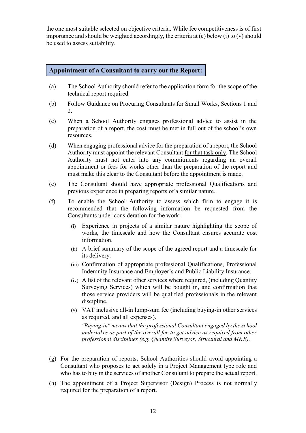the one most suitable selected on objective criteria. While fee competitiveness is of first importance and should be weighted accordingly, the criteria at (e) below (i) to (v) should be used to assess suitability.

#### **Appointment of a Consultant to carry out the Report:**

- (a) The School Authority should refer to the application form for the scope of the technical report required.
- (b) Follow Guidance on Procuring Consultants for Small Works, Sections 1 and 2.
- (c) When a School Authority engages professional advice to assist in the preparation of a report, the cost must be met in full out of the school's own resources.
- (d) When engaging professional advice for the preparation of a report, the School Authority must appoint the relevant Consultant for that task only. The School Authority must not enter into any commitments regarding an overall appointment or fees for works other than the preparation of the report and must make this clear to the Consultant before the appointment is made.
- (e) The Consultant should have appropriate professional Qualifications and previous experience in preparing reports of a similar nature.
- (f) To enable the School Authority to assess which firm to engage it is recommended that the following information be requested from the Consultants under consideration for the work:
	- (i) Experience in projects of a similar nature highlighting the scope of works, the timescale and how the Consultant ensures accurate cost information.
	- (ii) A brief summary of the scope of the agreed report and a timescale for its delivery.
	- (iii) Confirmation of appropriate professional Qualifications, Professional Indemnity Insurance and Employer's and Public Liability Insurance.
	- (iv) A list of the relevant other services where required, (including Quantity Surveying Services) which will be bought in, and confirmation that those service providers will be qualified professionals in the relevant discipline.
	- (v) VAT inclusive all-in lump-sum fee (including buying-in other services as required, and all expenses).

 *"Buying-in" means that the professional Consultant engaged by the school undertakes as part of the overall fee to get advice as required from other professional disciplines (e.g. Quantity Surveyor, Structural and M&E).*

- (g) For the preparation of reports, School Authorities should avoid appointing a Consultant who proposes to act solely in a Project Management type role and who has to buy in the services of another Consultant to prepare the actual report.
- (h) The appointment of a Project Supervisor (Design) Process is not normally required for the preparation of a report.